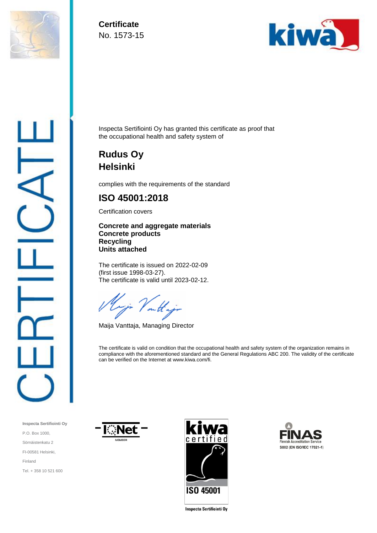

**Certificate** No. 1573-15



Inspecta Sertifiointi Oy has granted this certificate as proof that the occupational health and safety system of

## **Rudus Oy Helsinki**

complies with the requirements of the standard

## **ISO 45001:2018**

Certification covers

**Concrete and aggregate materials Concrete products Recycling Units attached**

The certificate is issued on 2022-02-09 (first issue 1998-03-27). The certificate is valid until 2023-02-12.

on the

Maija Vanttaja, Managing Director

The certificate is valid on condition that the occupational health and safety system of the organization remains in compliance with the aforementioned standard and the General Regulations ABC 200. The validity of the certificate can be verified on the Internet at www.kiwa.com/fi.

**Inspecta Sertifiointi Oy** P.O. Box 1000, Sörnäistenkatu 2 FI-00581 Helsinki, Finland Tel. + 358 10 521 600







Inspecta Sertifiointi Oy